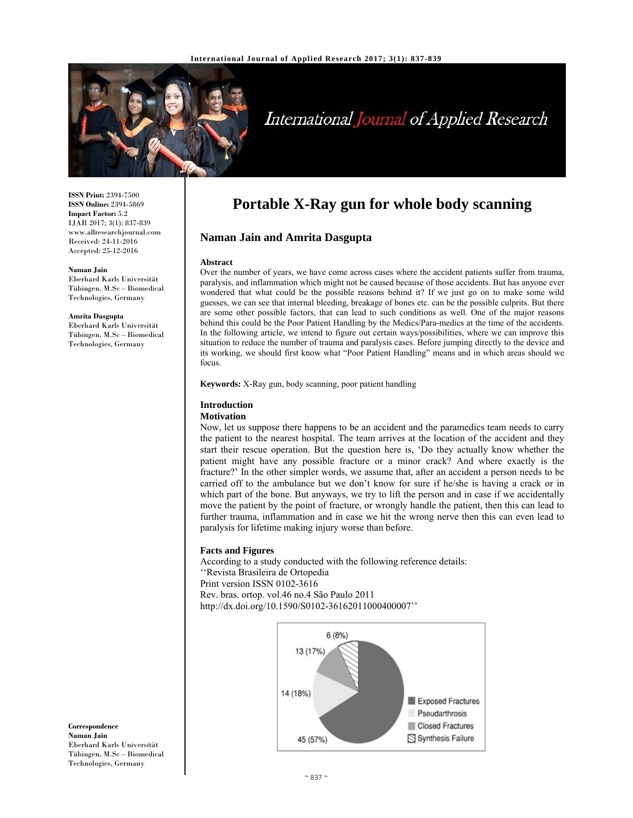

# International Journal of Applied Research

**ISSN Print:** 2394-7500 **ISSN Online:** 2394-5869 **Impact Factor:** 5.2 IJAR 2017; 3(1): 837-839 www.allresearchjournal.com Received: 24-11-2016 Accepted: 25-12-2016

#### **Naman Jain**

Eberhard Karls Universität Tübingen, M.Sc – Biomedical Technologies, Germany

**Amrita Dasgupta**  Eberhard Karls Universität Tübingen, M.Sc – Biomedical Technologies, Germany

# **Portable X-Ray gun for whole body scanning**

### **Naman Jain and Amrita Dasgupta**

#### **Abstract**

Over the number of years, we have come across cases where the accident patients suffer from trauma, paralysis, and inflammation which might not be caused because of those accidents. But has anyone ever wondered that what could be the possible reasons behind it? If we just go on to make some wild guesses, we can see that internal bleeding, breakage of bones etc. can be the possible culprits. But there are some other possible factors, that can lead to such conditions as well. One of the major reasons behind this could be the Poor Patient Handling by the Medics/Para-medics at the time of the accidents. In the following article, we intend to figure out certain ways/possibilities, where we can improve this situation to reduce the number of trauma and paralysis cases. Before jumping directly to the device and its working, we should first know what "Poor Patient Handling" means and in which areas should we focus.

**Keywords:** X-Ray gun, body scanning, poor patient handling

#### **Introduction**

#### **Motivation**

Now, let us suppose there happens to be an accident and the paramedics team needs to carry the patient to the nearest hospital. The team arrives at the location of the accident and they start their rescue operation. But the question here is, 'Do they actually know whether the patient might have any possible fracture or a minor crack? And where exactly is the fracture?' In the other simpler words, we assume that, after an accident a person needs to be carried off to the ambulance but we don't know for sure if he/she is having a crack or in which part of the bone. But anyways, we try to lift the person and in case if we accidentally move the patient by the point of fracture, or wrongly handle the patient, then this can lead to further trauma, inflammation and in case we hit the wrong nerve then this can even lead to paralysis for lifetime making injury worse than before.

#### **Facts and Figures**

According to a study conducted with the following reference details: ''Revista Brasileira de Ortopedia Print version ISSN 0102-3616 Rev. bras. ortop. vol.46 no.4 São Paulo 2011 http://dx.doi.org/10.1590/S0102-36162011000400007''



**Correspondence Naman Jain**  Eberhard Karls Universität Tübingen, M.Sc – Biomedical Technologies, Germany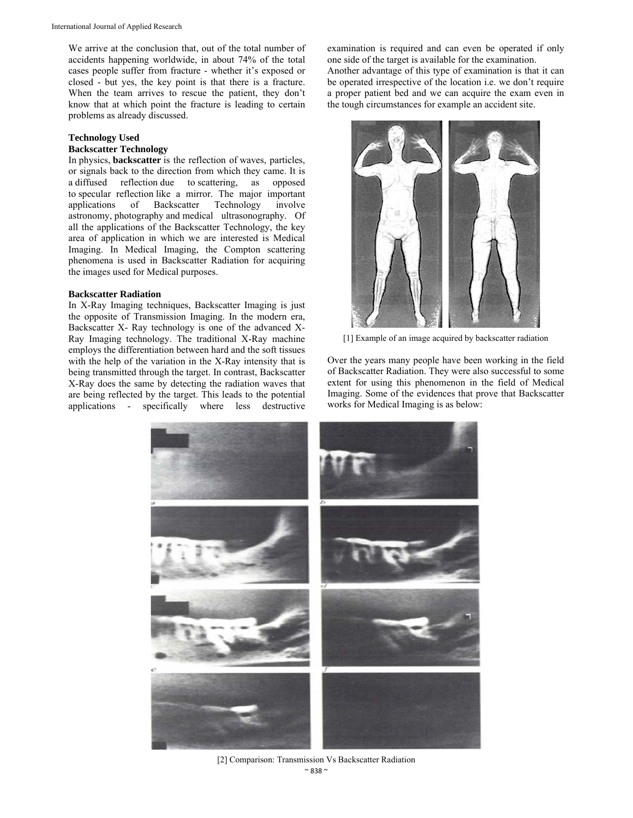We arrive at the conclusion that, out of the total number of accidents happening worldwide, in about 74% of the total cases people suffer from fracture - whether it's exposed or closed - but yes, the key point is that there is a fracture. When the team arrives to rescue the patient, they don't know that at which point the fracture is leading to certain problems as already discussed.

#### **Technology Used**

#### **Backscatter Technology**

In physics, **backscatter** is the reflection of waves, particles, or signals back to the direction from which they came. It is a diffused reflection due to scattering, as opposed to specular reflection like a mirror. The major important applications of Backscatter Technology involve astronomy, photography and medical ultrasonography. Of all the applications of the Backscatter Technology, the key area of application in which we are interested is Medical Imaging. In Medical Imaging, the Compton scattering phenomena is used in Backscatter Radiation for acquiring the images used for Medical purposes.

#### **Backscatter Radiation**

In X-Ray Imaging techniques, Backscatter Imaging is just the opposite of Transmission Imaging. In the modern era, Backscatter X- Ray technology is one of the advanced X-Ray Imaging technology. The traditional X-Ray machine employs the differentiation between hard and the soft tissues with the help of the variation in the X-Ray intensity that is being transmitted through the target. In contrast, Backscatter X-Ray does the same by detecting the radiation waves that are being reflected by the target. This leads to the potential applications - specifically where less destructive

examination is required and can even be operated if only one side of the target is available for the examination. Another advantage of this type of examination is that it can be operated irrespective of the location i.e. we don't require a proper patient bed and we can acquire the exam even in the tough circumstances for example an accident site.



[1] Example of an image acquired by backscatter radiation

Over the years many people have been working in the field of Backscatter Radiation. They were also successful to some extent for using this phenomenon in the field of Medical Imaging. Some of the evidences that prove that Backscatter works for Medical Imaging is as below:



 $~838$  ~ [2] Comparison: Transmission Vs Backscatter Radiation